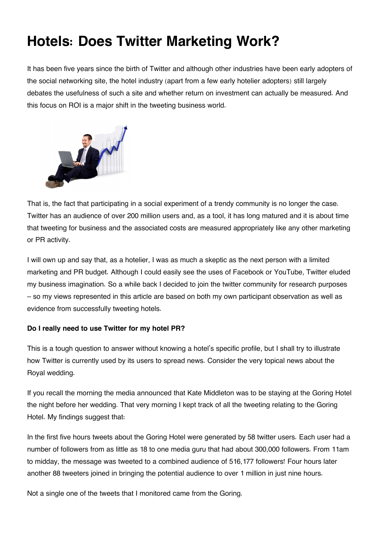# **Hotels: Does Twitter Marketing Work?**

It has been five years since the birth of Twitter and although other industries have been early adopters of the social networking site, the hotel industry (apart from a few early hotelier adopters) still largely debates the usefulness of such a site and whether return on investment can actually be measured. And this focus on ROI is a major shift in the tweeting business world.



That is, the fact that participating in a social experiment of a trendy community is no longer the case. Twitter has an audience of over 200 million users and, as a tool, it has long matured and it is about time that tweeting for business and the associated costs are measured appropriately like any other marketing or PR activity.

I will own up and say that, as a hotelier, I was as much a skeptic as the next person with a limited marketing and PR budget. Although I could easily see the uses of Facebook or YouTube, Twitter eluded my business imagination. So a while back I decided to join the twitter community for research purposes – so my views represented in this article are based on both my own participant observation as well as evidence from successfully tweeting hotels.

## **Do I really need to use Twitter for my hotel PR?**

This is a tough question to answer without knowing a hotel's specific profile, but I shall try to illustrate how Twitter is currently used by its users to spread news. Consider the very topical news about the Royal wedding.

If you recall the morning the media announced that Kate Middleton was to be staying at the Goring Hotel the night before her wedding. That very morning I kept track of all the tweeting relating to the Goring Hotel. My findings suggest that:

In the first five hours tweets about the Goring Hotel were generated by 58 twitter users. Each user had a number of followers from as little as 18 to one media guru that had about 300,000 followers. From 11am to midday, the message was tweeted to a combined audience of 516,177 followers! Four hours later another 88 tweeters joined in bringing the potential audience to over 1 million in just nine hours.

Not a single one of the tweets that I monitored came from the Goring.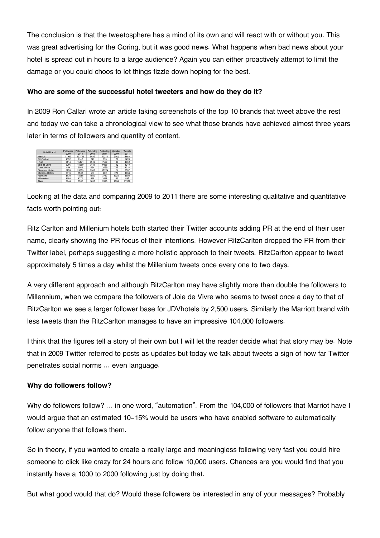The conclusion is that the tweetosphere has a mind of its own and will react with or without you. This was great advertising for the Goring, but it was good news. What happens when bad news about your hotel is spread out in hours to a large audience? Again you can either proactively attempt to limit the damage or you could choos to let things fizzle down hoping for the best.

## **Who are some of the successful hotel tweeters and how do they do it?**

In 2009 Ron Callari wrote an article taking screenshots of the top 10 brands that tweet above the rest and today we can take a chronological view to see what those brands have achieved almost three years later in terms of followers and quantity of content.

| <b>Hotel Brand</b>    | <b>Followers</b><br>2009 | <b>Followers</b><br>2011 | Following<br>2009 | Following<br>2011 | Updates<br>2009 | <b>Tweets</b><br>2011 |
|-----------------------|--------------------------|--------------------------|-------------------|-------------------|-----------------|-----------------------|
| Marriott              | 11915                    | 103786                   | 9495              | 13213             | 2162            | 4463                  |
| <b>RitzCarlton</b>    | 1052                     | 9147                     | 212               | 353               | 179             | 5478                  |
| Hyatt                 | 3414                     | 15471                    | 3513              | 7590              | 189             | 4952                  |
| Jole de Vivre         | 3256                     | 11589                    | 3419              | 9188              | 182             | 1218                  |
| Omni Hotels           | 684                      | 9968                     | 684               | 2659              | 785             | 4316                  |
| Starwood Hotels       | 3776                     | 25253                    | 2985              | 15374             | 121             | 5587                  |
| <b>Morgans Hotels</b> | 2615                     | 9502                     | 39                | 302               | 272             | 1368                  |
| Fairmont              | 4178                     | 13755                    | 1886              | 3743              | 1323            | 4608                  |
| Millennium            | 1188                     | 4272                     | 838               | 2018              | 103             | 895                   |
| Tiara                 | 2146                     | 5582                     | 1637              | 2615              | 1030            | 37520                 |

Looking at the data and comparing 2009 to 2011 there are some interesting qualitative and quantitative facts worth pointing out:

Ritz Carlton and Millenium hotels both started their Twitter accounts adding PR at the end of their user name, clearly showing the PR focus of their intentions. However RitzCarlton dropped the PR from their Twitter label, perhaps suggesting a more holistic approach to their tweets. RitzCarlton appear to tweet approximately 5 times a day whilst the Millenium tweets once every one to two days.

A very different approach and although RitzCarlton may have slightly more than double the followers to Millennium, when we compare the followers of Joie de Vivre who seems to tweet once a day to that of RitzCarlton we see a larger follower base for JDVhotels by 2,500 users. Similarly the Marriott brand with less tweets than the RitzCarlton manages to have an impressive 104,000 followers.

I think that the figures tell a story of their own but I will let the reader decide what that story may be. Note that in 2009 Twitter referred to posts as updates but today we talk about tweets a sign of how far Twitter penetrates social norms … even language.

#### **Why do followers follow?**

Why do followers follow? … in one word, "automation". From the 104,000 of followers that Marriot have I would argue that an estimated 10-15% would be users who have enabled software to automatically follow anyone that follows them.

So in theory, if you wanted to create a really large and meaningless following very fast you could hire someone to click like crazy for 24 hours and follow 10,000 users. Chances are you would find that you instantly have a 1000 to 2000 following just by doing that.

But what good would that do? Would these followers be interested in any of your messages? Probably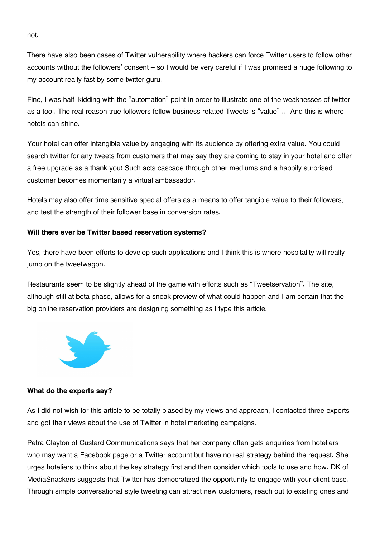not.

There have also been cases of Twitter vulnerability where hackers can force Twitter users to follow other accounts without the followers' consent – so I would be very careful if I was promised a huge following to my account really fast by some twitter guru.

Fine, I was half-kidding with the "automation" point in order to illustrate one of the weaknesses of twitter as a tool. The real reason true followers follow business related Tweets is "value" … And this is where hotels can shine.

Your hotel can offer intangible value by engaging with its audience by offering extra value. You could search twitter for any tweets from customers that may say they are coming to stay in your hotel and offer a free upgrade as a thank you! Such acts cascade through other mediums and a happily surprised customer becomes momentarily a virtual ambassador.

Hotels may also offer time sensitive special offers as a means to offer tangible value to their followers, and test the strength of their follower base in conversion rates.

#### **Will there ever be Twitter based reservation systems?**

Yes, there have been efforts to develop such applications and I think this is where hospitality will really jump on the tweetwagon.

Restaurants seem to be slightly ahead of the game with efforts such as "Tweetservation". The site, although still at beta phase, allows for a sneak preview of what could happen and I am certain that the big online reservation providers are designing something as I type this article.



#### **What do the experts say?**

As I did not wish for this article to be totally biased by my views and approach, I contacted three experts and got their views about the use of Twitter in hotel marketing campaigns.

Petra Clayton of Custard Communications says that her company often gets enquiries from hoteliers who may want a Facebook page or a Twitter account but have no real strategy behind the request. She urges hoteliers to think about the key strategy first and then consider which tools to use and how. DK of MediaSnackers suggests that Twitter has democratized the opportunity to engage with your client base. Through simple conversational style tweeting can attract new customers, reach out to existing ones and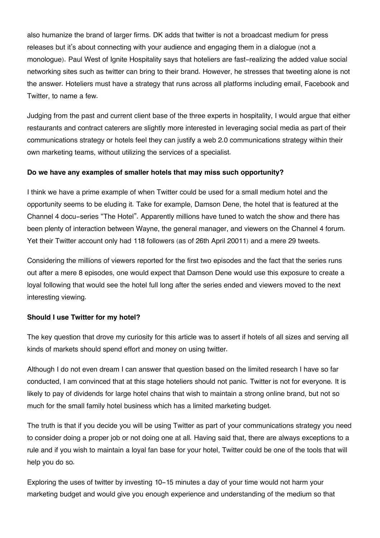also humanize the brand of larger firms. DK adds that twitter is not a broadcast medium for press releases but it's about connecting with your audience and engaging them in a dialogue (not a monologue). Paul West of Ignite Hospitality says that hoteliers are fast-realizing the added value social networking sites such as twitter can bring to their brand. However, he stresses that tweeting alone is not the answer. Hoteliers must have a strategy that runs across all platforms including email, Facebook and Twitter, to name a few.

Judging from the past and current client base of the three experts in hospitality, I would argue that either restaurants and contract caterers are slightly more interested in leveraging social media as part of their communications strategy or hotels feel they can justify a web 2.0 communications strategy within their own marketing teams, without utilizing the services of a specialist.

### **Do we have any examples of smaller hotels that may miss such opportunity?**

I think we have a prime example of when Twitter could be used for a small medium hotel and the opportunity seems to be eluding it. Take for example, Damson Dene, the hotel that is featured at the Channel 4 docu-series "The Hotel". Apparently millions have tuned to watch the show and there has been plenty of interaction between Wayne, the general manager, and viewers on the Channel 4 forum. Yet their Twitter account only had 118 followers (as of 26th April 20011) and a mere 29 tweets.

Considering the millions of viewers reported for the first two episodes and the fact that the series runs out after a mere 8 episodes, one would expect that Damson Dene would use this exposure to create a loyal following that would see the hotel full long after the series ended and viewers moved to the next interesting viewing.

#### **Should I use Twitter for my hotel?**

The key question that drove my curiosity for this article was to assert if hotels of all sizes and serving all kinds of markets should spend effort and money on using twitter.

Although I do not even dream I can answer that question based on the limited research I have so far conducted, I am convinced that at this stage hoteliers should not panic. Twitter is not for everyone. It is likely to pay of dividends for large hotel chains that wish to maintain a strong online brand, but not so much for the small family hotel business which has a limited marketing budget.

The truth is that if you decide you will be using Twitter as part of your communications strategy you need to consider doing a proper job or not doing one at all. Having said that, there are always exceptions to a rule and if you wish to maintain a loyal fan base for your hotel, Twitter could be one of the tools that will help you do so.

Exploring the uses of twitter by investing 10-15 minutes a day of your time would not harm your marketing budget and would give you enough experience and understanding of the medium so that